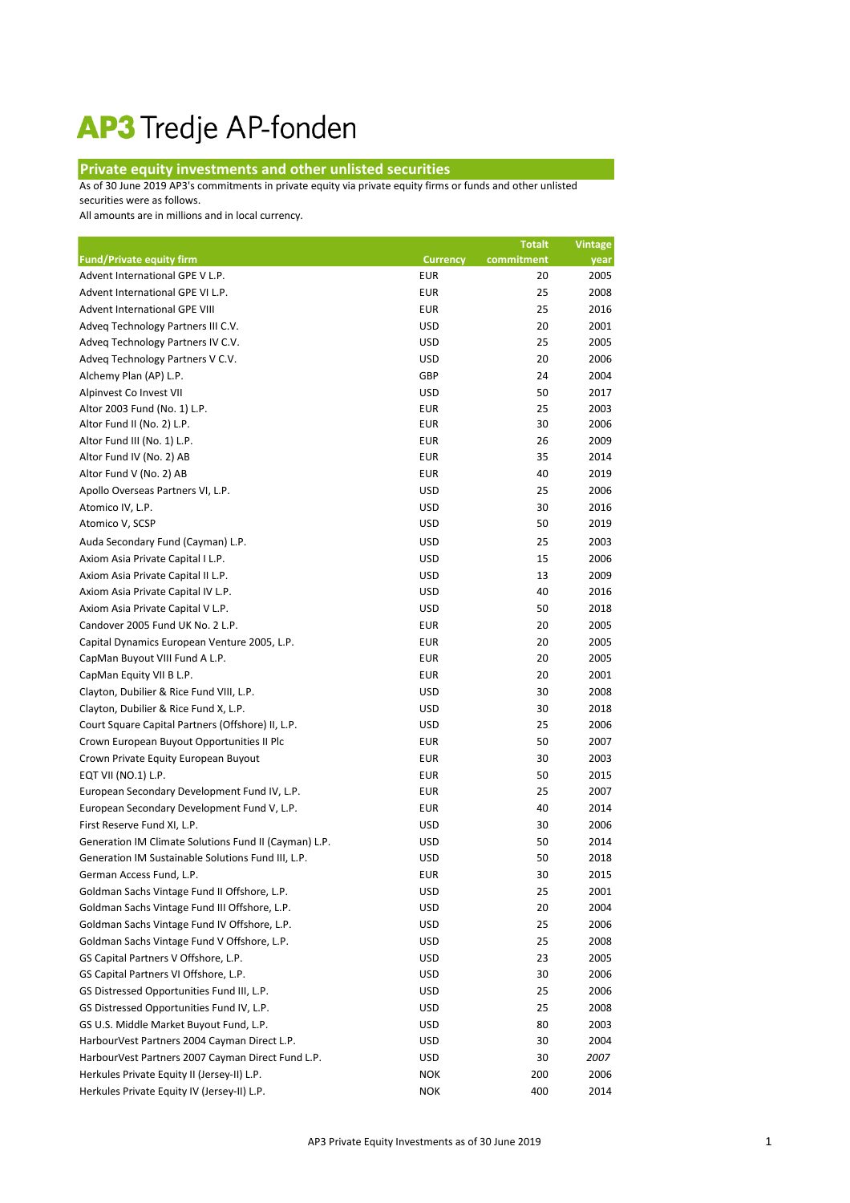## AP3 Tredje AP-fonden

## **Private equity investments and other unlisted securities**

As of 30 June 2019 AP3's commitments in private equity via private equity firms or funds and other unlisted

securities were as follows.

All amounts are in millions and in local currency.

|                                                       |                 | <b>Totalt</b> | <b>Vintage</b> |
|-------------------------------------------------------|-----------------|---------------|----------------|
| <b>Fund/Private equity firm</b>                       | <b>Currency</b> | commitment    | year           |
| Advent International GPE V L.P.                       | <b>EUR</b>      | 20            | 2005           |
| Advent International GPE VI L.P.                      | <b>EUR</b>      | 25            | 2008           |
| Advent International GPE VIII                         | <b>EUR</b>      | 25            | 2016           |
| Adveq Technology Partners III C.V.                    | <b>USD</b>      | 20            | 2001           |
| Adveq Technology Partners IV C.V.                     | <b>USD</b>      | 25            | 2005           |
| Adveq Technology Partners V C.V.                      | <b>USD</b>      | 20            | 2006           |
| Alchemy Plan (AP) L.P.                                | GBP             | 24            | 2004           |
| Alpinvest Co Invest VII                               | <b>USD</b>      | 50            | 2017           |
| Altor 2003 Fund (No. 1) L.P.                          | <b>EUR</b>      | 25            | 2003           |
| Altor Fund II (No. 2) L.P.                            | <b>EUR</b>      | 30            | 2006           |
| Altor Fund III (No. 1) L.P.                           | <b>EUR</b>      | 26            | 2009           |
| Altor Fund IV (No. 2) AB                              | <b>EUR</b>      | 35            | 2014           |
| Altor Fund V (No. 2) AB                               | <b>EUR</b>      | 40            | 2019           |
| Apollo Overseas Partners VI, L.P.                     | <b>USD</b>      | 25            | 2006           |
| Atomico IV, L.P.                                      | <b>USD</b>      | 30            | 2016           |
| Atomico V, SCSP                                       | <b>USD</b>      | 50            | 2019           |
| Auda Secondary Fund (Cayman) L.P.                     | <b>USD</b>      | 25            | 2003           |
| Axiom Asia Private Capital I L.P.                     | <b>USD</b>      | 15            | 2006           |
| Axiom Asia Private Capital II L.P.                    | <b>USD</b>      | 13            | 2009           |
| Axiom Asia Private Capital IV L.P.                    | <b>USD</b>      | 40            | 2016           |
| Axiom Asia Private Capital V L.P.                     | <b>USD</b>      | 50            | 2018           |
| Candover 2005 Fund UK No. 2 L.P.                      | <b>EUR</b>      | 20            | 2005           |
| Capital Dynamics European Venture 2005, L.P.          | <b>EUR</b>      | 20            | 2005           |
| CapMan Buyout VIII Fund A L.P.                        | <b>EUR</b>      | 20            | 2005           |
| CapMan Equity VII B L.P.                              | <b>EUR</b>      | 20            | 2001           |
| Clayton, Dubilier & Rice Fund VIII, L.P.              | <b>USD</b>      | 30            | 2008           |
| Clayton, Dubilier & Rice Fund X, L.P.                 | <b>USD</b>      | 30            | 2018           |
| Court Square Capital Partners (Offshore) II, L.P.     | <b>USD</b>      | 25            | 2006           |
| Crown European Buyout Opportunities II Plc            | <b>EUR</b>      | 50            | 2007           |
| Crown Private Equity European Buyout                  | <b>EUR</b>      | 30            | 2003           |
| EQT VII (NO.1) L.P.                                   | <b>EUR</b>      | 50            | 2015           |
| European Secondary Development Fund IV, L.P.          | <b>EUR</b>      | 25            | 2007           |
| European Secondary Development Fund V, L.P.           | <b>EUR</b>      | 40            | 2014           |
| First Reserve Fund XI, L.P.                           | <b>USD</b>      | 30            | 2006           |
| Generation IM Climate Solutions Fund II (Cayman) L.P. | <b>USD</b>      | 50            | 2014           |
| Generation IM Sustainable Solutions Fund III, L.P.    | <b>USD</b>      | 50            | 2018           |
| German Access Fund, L.P.                              | <b>EUR</b>      | 30            | 2015           |
| Goldman Sachs Vintage Fund II Offshore, L.P.          | <b>USD</b>      | 25            | 2001           |
| Goldman Sachs Vintage Fund III Offshore, L.P.         | <b>USD</b>      | 20            | 2004           |
| Goldman Sachs Vintage Fund IV Offshore, L.P.          | <b>USD</b>      | 25            | 2006           |
| Goldman Sachs Vintage Fund V Offshore, L.P.           | <b>USD</b>      | 25            | 2008           |
| GS Capital Partners V Offshore, L.P.                  | <b>USD</b>      | 23            | 2005           |
| GS Capital Partners VI Offshore, L.P.                 | <b>USD</b>      | 30            | 2006           |
| GS Distressed Opportunities Fund III, L.P.            | <b>USD</b>      | 25            | 2006           |
| GS Distressed Opportunities Fund IV, L.P.             | <b>USD</b>      | 25            | 2008           |
| GS U.S. Middle Market Buyout Fund, L.P.               | <b>USD</b>      | 80            | 2003           |
| HarbourVest Partners 2004 Cayman Direct L.P.          | <b>USD</b>      | 30            | 2004           |
| HarbourVest Partners 2007 Cayman Direct Fund L.P.     | <b>USD</b>      | 30            | 2007           |
| Herkules Private Equity II (Jersey-II) L.P.           | <b>NOK</b>      | 200           | 2006           |
| Herkules Private Equity IV (Jersey-II) L.P.           | <b>NOK</b>      | 400           | 2014           |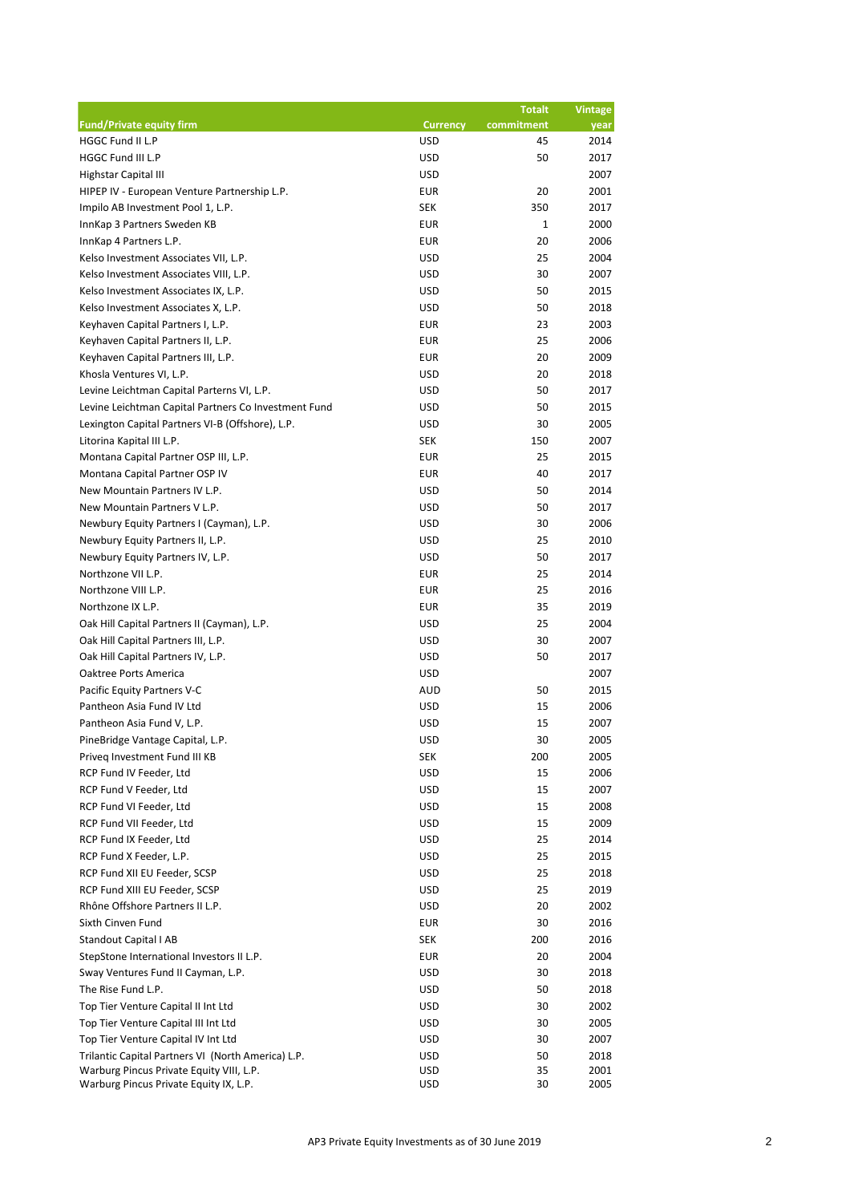|                                                      |                 | <b>Totalt</b> | <b>Vintage</b> |
|------------------------------------------------------|-----------------|---------------|----------------|
| <b>Fund/Private equity firm</b>                      | <b>Currency</b> | commitment    | year           |
| HGGC Fund II L.P                                     | <b>USD</b>      | 45            | 2014           |
| HGGC Fund III L.P                                    | <b>USD</b>      | 50            | 2017           |
| <b>Highstar Capital III</b>                          | <b>USD</b>      |               | 2007           |
| HIPEP IV - European Venture Partnership L.P.         | <b>EUR</b>      | 20            | 2001           |
| Impilo AB Investment Pool 1, L.P.                    | <b>SEK</b>      | 350           | 2017           |
| InnKap 3 Partners Sweden KB                          | <b>EUR</b>      | 1             | 2000           |
| InnKap 4 Partners L.P.                               | <b>EUR</b>      | 20            | 2006           |
| Kelso Investment Associates VII, L.P.                | <b>USD</b>      | 25            | 2004           |
| Kelso Investment Associates VIII, L.P.               | <b>USD</b>      | 30            | 2007           |
| Kelso Investment Associates IX, L.P.                 | <b>USD</b>      | 50            | 2015           |
| Kelso Investment Associates X, L.P.                  | <b>USD</b>      | 50            | 2018           |
| Keyhaven Capital Partners I, L.P.                    | <b>EUR</b>      | 23            | 2003           |
| Keyhaven Capital Partners II, L.P.                   | <b>EUR</b>      | 25            | 2006           |
| Keyhaven Capital Partners III, L.P.                  | <b>EUR</b>      | 20            | 2009           |
| Khosla Ventures VI, L.P.                             | <b>USD</b>      | 20            | 2018           |
| Levine Leichtman Capital Parterns VI, L.P.           | <b>USD</b>      | 50            | 2017           |
| Levine Leichtman Capital Partners Co Investment Fund | <b>USD</b>      | 50            | 2015           |
| Lexington Capital Partners VI-B (Offshore), L.P.     | <b>USD</b>      | 30            | 2005           |
| Litorina Kapital III L.P.                            | <b>SEK</b>      | 150           | 2007           |
| Montana Capital Partner OSP III, L.P.                | <b>EUR</b>      | 25            | 2015           |
| Montana Capital Partner OSP IV                       | <b>EUR</b>      | 40            | 2017           |
| New Mountain Partners IV L.P.                        | <b>USD</b>      | 50            | 2014           |
| New Mountain Partners V L.P.                         | <b>USD</b>      | 50            | 2017           |
| Newbury Equity Partners I (Cayman), L.P.             | <b>USD</b>      | 30            | 2006           |
| Newbury Equity Partners II, L.P.                     | <b>USD</b>      | 25            | 2010           |
| Newbury Equity Partners IV, L.P.                     | <b>USD</b>      | 50            | 2017           |
| Northzone VII L.P.                                   | <b>EUR</b>      | 25            | 2014           |
| Northzone VIII L.P.                                  | <b>EUR</b>      | 25            | 2016           |
| Northzone IX L.P.                                    | <b>EUR</b>      | 35            | 2019           |
| Oak Hill Capital Partners II (Cayman), L.P.          | <b>USD</b>      | 25            | 2004           |
| Oak Hill Capital Partners III, L.P.                  | <b>USD</b>      | 30            | 2007           |
| Oak Hill Capital Partners IV, L.P.                   | <b>USD</b>      | 50            | 2017           |
| Oaktree Ports America                                | <b>USD</b>      |               | 2007           |
| Pacific Equity Partners V-C                          | <b>AUD</b>      | 50            | 2015           |
| Pantheon Asia Fund IV Ltd                            | <b>USD</b>      | 15            | 2006           |
| Pantheon Asia Fund V, L.P.                           | <b>USD</b>      | 15            | 2007           |
| PineBridge Vantage Capital, L.P.                     | <b>USD</b>      | 30            | 2005           |
| Priveq Investment Fund III KB                        | <b>SEK</b>      | 200           | 2005           |
| RCP Fund IV Feeder, Ltd                              | <b>USD</b>      | 15            | 2006           |
| RCP Fund V Feeder, Ltd                               | <b>USD</b>      | 15            | 2007           |
| RCP Fund VI Feeder, Ltd                              | <b>USD</b>      | 15            | 2008           |
| RCP Fund VII Feeder, Ltd                             | <b>USD</b>      | 15            | 2009           |
| RCP Fund IX Feeder, Ltd                              | <b>USD</b>      | 25            | 2014           |
| RCP Fund X Feeder, L.P.                              | <b>USD</b>      | 25            | 2015           |
| RCP Fund XII EU Feeder, SCSP                         | <b>USD</b>      | 25            | 2018           |
| RCP Fund XIII EU Feeder, SCSP                        | <b>USD</b>      | 25            | 2019           |
| Rhône Offshore Partners II L.P.                      | <b>USD</b>      | 20            | 2002           |
| Sixth Cinven Fund                                    | <b>EUR</b>      | 30            | 2016           |
| <b>Standout Capital I AB</b>                         | <b>SEK</b>      | 200           | 2016           |
| StepStone International Investors II L.P.            | <b>EUR</b>      | 20            | 2004           |
| Sway Ventures Fund II Cayman, L.P.                   | <b>USD</b>      | 30            | 2018           |
| The Rise Fund L.P.                                   | <b>USD</b>      | 50            | 2018           |
| Top Tier Venture Capital II Int Ltd                  | <b>USD</b>      | 30            | 2002           |
| Top Tier Venture Capital III Int Ltd                 | <b>USD</b>      | 30            | 2005           |
| Top Tier Venture Capital IV Int Ltd                  | <b>USD</b>      | 30            | 2007           |
| Trilantic Capital Partners VI (North America) L.P.   | <b>USD</b>      | 50            | 2018           |
| Warburg Pincus Private Equity VIII, L.P.             | <b>USD</b>      | 35            | 2001           |
| Warburg Pincus Private Equity IX, L.P.               | <b>USD</b>      | 30            | 2005           |